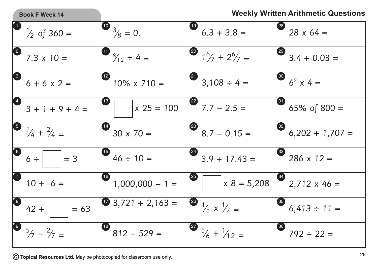| <b>Book F Week 14</b>                  | <b>Weekly Written Arithmetic Questions</b>      |                                                      |                                        |
|----------------------------------------|-------------------------------------------------|------------------------------------------------------|----------------------------------------|
| $\begin{pmatrix} 1 \end{pmatrix}$      | $\int_{8}^{10}$ 3/8 = 0.                        | (19)                                                 | [28]                                   |
| $\frac{1}{2}$ of 360 =                 |                                                 | $6.3 + 3.8 =$                                        | $28 \times 64 =$                       |
| $\mathbf{2}$<br>$7.3 \times 10 =$      | $\int$ $\frac{8}{12} \div 4 =$                  | $\frac{16}{1}\frac{6}{7} + \frac{26}{7} =$           | (29)<br>$3.4 + 0.03 =$                 |
| $\left(3\right)$                       | 12)                                             | $3,108 \div 4 =$                                     | $\left( 30\right)$                     |
| $6 + 6 \times 2 =$                     | $10\% \times 710 =$                             |                                                      | $6^2$ x 4 =                            |
| $3 + 1 + 9 + 4 =$                      | $(13)$                                          | (22)                                                 | $\bm{31}$                              |
|                                        | $x 25 = 100$                                    | $7.7 - 2.5 =$                                        | 65% of $800 =$                         |
| $\int$ $\frac{1}{4} + \frac{2}{4} =$   | $ 14\rangle$                                    | $\left( 23\right)$                                   | $\left( 32\right)$                     |
|                                        | $30 \times 70 =$                                | $8.7 - 0.15 =$                                       | $6,202 + 1,707 =$                      |
| $\left( 6\right)$<br>$= 3$<br>$6 \div$ | $46 \div 10 =$                                  | $3.9 + 17.43 =$                                      | $\left(33\right)$<br>$286 \times 12 =$ |
| $\bullet$                              | $\left( \begin{matrix} 16 \end{matrix} \right)$ | (25)                                                 | $\left(34\right)$                      |
| $10 + -6 =$                            | $1,000,000 - 1 =$                               | $x 8 = 5,208$                                        | $2,712 \times 46 =$                    |
| 8<br>$42 +$<br>$= 63$                  | <b>1</b> 3,721 + 2,163 =                        | $\frac{26}{5}$ $\frac{1}{5}$ x $\frac{1}{2}$ =       | $^{\degree}35$<br>$6,413 \div 11 =$    |
| $\bullet$ 5/7 - $\frac{2}{7}$ =        | $812 - 529 =$                                   | $\begin{bmatrix} 27 \\ 5/6 + 1/12 = 1 \end{bmatrix}$ | [36]<br>$792 \div 22 =$                |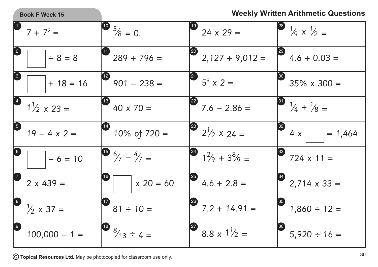

## **Book F Week 15 Weekly Written Arithmetic Questions**

|                                   | $7 + 7^2 =$                                     | $\frac{10}{5}$ $\frac{5}{8}$ = 0.                 | $19$ 24 x 29 =                                                      | <sup>23</sup> <sup>1</sup> / <sub>9</sub> $\times$ <sup>1</sup> / <sub>2</sub> = |
|-----------------------------------|-------------------------------------------------|---------------------------------------------------|---------------------------------------------------------------------|----------------------------------------------------------------------------------|
|                                   | $\div 8 = 8$                                    | $\bullet$ 289 + 796 =                             | $\begin{bmatrix} 20 \\ 2,127 + 9,012 \end{bmatrix}$                 | $\begin{bmatrix} 29 \\ 4.6 + 0.03 \end{bmatrix}$                                 |
| 3                                 | $+ 18 = 16$                                     | $\begin{bmatrix} 2 & 901 & -238 \end{bmatrix}$    | $3^{3} \times 2 =$                                                  | $35\% \times 300 =$                                                              |
|                                   | $1\frac{1}{2} \times 23 =$                      | $\begin{bmatrix} 0 \\ 40 \times 70 \end{bmatrix}$ | $7.6 - 2.86 =$                                                      | $\frac{31}{4}$ $\frac{1}{4}$ + $\frac{1}{8}$ =                                   |
| $\overline{\mathbf{5}}$           | $19 - 4 \times 2 =$                             | $10\% \text{ of } 720 =$                          | <sup>23</sup> $2^{1}/2 \times 24 =$                                 | $4 \times$<br>$= 1,464$                                                          |
| $\bullet$                         | $-6 = 10$                                       | $\begin{pmatrix} 15 & 6/7 & -4/7 \end{pmatrix} =$ | $1^2/9 + 3^8/9 =$                                                   | $\begin{bmatrix} 33 \\ 724 \times 11 \end{bmatrix}$                              |
|                                   | $2 \times 439 =$                                | $x 20 = 60$                                       | $4.6 + 2.8 =$                                                       | $34$ 2,714 x 33 =                                                                |
|                                   | $\begin{vmatrix} 8 \\ 1/2 \end{vmatrix}$ x 37 = | $\begin{bmatrix} 0 \\ 81 \div 10 \end{bmatrix}$   | $\begin{bmatrix} 28 \\ 7.2 + 14.91 \end{bmatrix}$                   | $\left( \frac{35}{2} \right)$<br>$1,860 \div 12 =$                               |
| $\begin{pmatrix} 9 \end{pmatrix}$ | $100,000 - 1 =$                                 | $\begin{bmatrix} 8 \\ 3/13 \end{bmatrix}$ ÷ 4 =   | $\begin{bmatrix} 27 \\ 8.8 \times 1 \end{bmatrix}$ / <sub>2</sub> = | $5,920 \div 16 =$                                                                |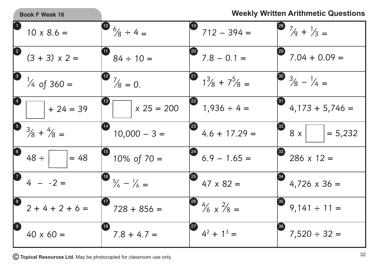|                                                 | <b>Book F Week 16</b>                             |                                                               |                                            | <b>Weekly Written Arithmetic Questions</b>       |
|-------------------------------------------------|---------------------------------------------------|---------------------------------------------------------------|--------------------------------------------|--------------------------------------------------|
|                                                 | $10 \times 8.6 =$                                 | $\frac{10}{6}$ $\frac{6}{8} \div 4 =$                         | (19)<br>$712 - 394 =$                      | <sup>28</sup> $\frac{7}{9} + \frac{1}{3} =$      |
| $\left( 2\right)$                               | $(3 + 3) \times 2 =$                              | 60<br>$84 \div 10 =$                                          | [20]<br>$7.8 - 0.1 =$                      | (29)<br>$7.04 + 0.09 =$                          |
|                                                 | $\frac{1}{4}$ of 360 =                            | $\frac{12}{8} = 0.$                                           | $1\frac{3}{8} + 7\frac{5}{8} =$            | $\frac{30}{3}/8 - \frac{1}{4} =$                 |
|                                                 | $+24=39$                                          | 13)<br>$x 25 = 200$                                           | (22)<br>$1,936 \div 4 =$                   | 31<br>$4,173 + 5,746 =$                          |
|                                                 | $\begin{bmatrix} 5 & 3/8 + 4/8 = 1 \end{bmatrix}$ | $10,000 - 3 =$                                                | $\left( 23\right)$<br>$4.6 + 17.29 =$      | $\left( \frac{32}{2} \right)$<br>8x<br>$= 5,232$ |
| $\begin{bmatrix} 6 \end{bmatrix}$               | $48 \div$<br>$= 48$                               | $\begin{pmatrix} 15 \end{pmatrix}$<br>$10\% \text{ of } 70 =$ | (24)<br>$6.9 - 1.65 =$                     | $\left( 33 \right)$<br>$286 \times 12 =$         |
| 7                                               | $4 - -2 =$                                        | $\begin{bmatrix} 16 & 5/6 - 1/6 \end{bmatrix}$                | $\left( 25\right)$<br>$47 \times 82 =$     | $4,726 \times 36 =$                              |
| $\left[ \begin{array}{c} 8 \end{array} \right]$ | $2 + 4 + 2 + 6 =$                                 | $^{\prime}$ 17<br>$728 + 856 =$                               | (26)<br>$\frac{4}{6} \times \frac{2}{8} =$ | 35<br>$9,141 \div 11 =$                          |
| $\overline{9}$                                  | $40 \times 60 =$                                  | 18)<br>$7.8 + 4.7 =$                                          | $\left( 27\right)$<br>$4^2 + 1^3 =$        | 36<br>$7,520 \div 32 =$                          |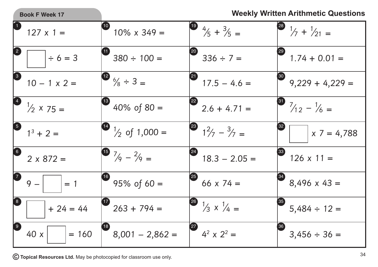|                                                 | <b>Book F Week 17</b>                            |                                                                        |                                    | <b>Weekly Written Arithmetic Questions</b>                   |
|-------------------------------------------------|--------------------------------------------------|------------------------------------------------------------------------|------------------------------------|--------------------------------------------------------------|
|                                                 | $127 \times 1 =$                                 | $\left( \begin{matrix} 10 \end{matrix} \right)$<br>$10\% \times 349 =$ | $\frac{19}{5} + \frac{3}{5} =$     | <sup>28</sup> $\frac{1}{7} + \frac{1}{21} =$                 |
|                                                 | $\div 6 = 3$                                     | $380 \div 100 =$                                                       | $336 \div 7 =$                     | $1.74 + 0.01 =$                                              |
| 3                                               | $10 - 1 \times 2 =$                              | $\bullet$ $\frac{6}{8} \div 3 =$                                       | 21<br>$17.5 - 4.6 =$               | 30<br>$9,229 + 4,229 =$                                      |
|                                                 | $\begin{pmatrix} 4 & 1/2 & x & 75 \end{pmatrix}$ | $\begin{pmatrix} 13 \end{pmatrix}$<br>40% of $80 =$                    | $2.6 + 4.71 =$                     | <sup>3</sup> $\frac{7}{12} - \frac{1}{6} =$                  |
| $\overline{\mathbf{5}}$                         | $1^3 + 2 =$                                      | $\bigcup_{2}$ of 1,000 =                                               | $1^2/7 - 3/7 =$                    | $x 7 = 4,788$                                                |
| $\left( 6\right)$                               | $2 \times 872 =$                                 | $\begin{pmatrix} 15 & 7/9 & -2/9 \end{pmatrix}$                        | (24)<br>$18.3 - 2.05 =$            | $\begin{array}{c} \n 33 \n \end{array}$<br>$126 \times 11 =$ |
| $\boldsymbol{D}$                                | $9 -$<br>$= 1$                                   | $95% \text{ of } 60 =$                                                 | (25)<br>66 $\times$ 74 =           | $8,496 \times 43 =$                                          |
| $\left  \begin{array}{c} 8 \end{array} \right $ | $+ 24 = 44$                                      | $263 + 794 =$                                                          | $\frac{1}{3} \times \frac{1}{4} =$ | $5,484 \div 12 =$                                            |
| $\left[9\right]$                                | $= 160$<br>40x                                   | $8,001 - 2,862 =$                                                      | 27<br>$4^2 \times 2^2 =$           | 36<br>$3,456 \div 36 =$                                      |